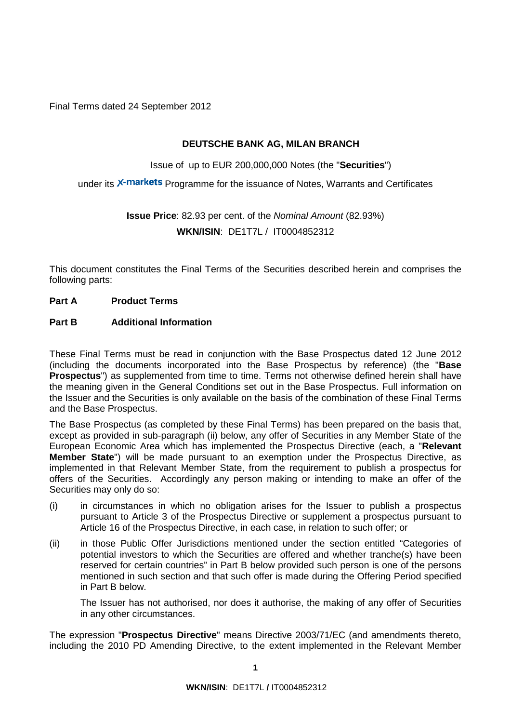Final Terms dated 24 September 2012

## **DEUTSCHE BANK AG, MILAN BRANCH**

Issue of up to EUR 200,000,000 Notes (the "**Securities**")

under its X-markets Programme for the issuance of Notes, Warrants and Certificates

# **Issue Price**: 82.93 per cent. of the *Nominal Amount* (82.93%) **WKN/ISIN**: DE1T7L / IT0004852312

This document constitutes the Final Terms of the Securities described herein and comprises the following parts:

#### **Part A Product Terms**

## **Part B Additional Information**

These Final Terms must be read in conjunction with the Base Prospectus dated 12 June 2012 (including the documents incorporated into the Base Prospectus by reference) (the "**Base Prospectus**") as supplemented from time to time. Terms not otherwise defined herein shall have the meaning given in the General Condition*s* set out in the Base Prospectus. Full information on the Issuer and the Securities is only available on the basis of the combination of these Final Terms and the Base Prospectus.

The Base Prospectus (as completed by these Final Terms) has been prepared on the basis that, except as provided in sub-paragraph (ii) below, any offer of Securities in any Member State of the European Economic Area which has implemented the Prospectus Directive (each, a "**Relevant Member State**") will be made pursuant to an exemption under the Prospectus Directive, as implemented in that Relevant Member State, from the requirement to publish a prospectus for offers of the Securities. Accordingly any person making or intending to make an offer of the Securities may only do so:

- (i) in circumstances in which no obligation arises for the Issuer to publish a prospectus pursuant to Article 3 of the Prospectus Directive or supplement a prospectus pursuant to Article 16 of the Prospectus Directive, in each case, in relation to such offer; or
- (ii) in those Public Offer Jurisdictions mentioned under the section entitled "Categories of potential investors to which the Securities are offered and whether tranche(s) have been reserved for certain countries" in Part B below provided such person is one of the persons mentioned in such section and that such offer is made during the Offering Period specified in Part B below.

The Issuer has not authorised, nor does it authorise, the making of any offer of Securities in any other circumstances.

The expression "**Prospectus Directive**" means Directive 2003/71/EC (and amendments thereto, including the 2010 PD Amending Directive, to the extent implemented in the Relevant Member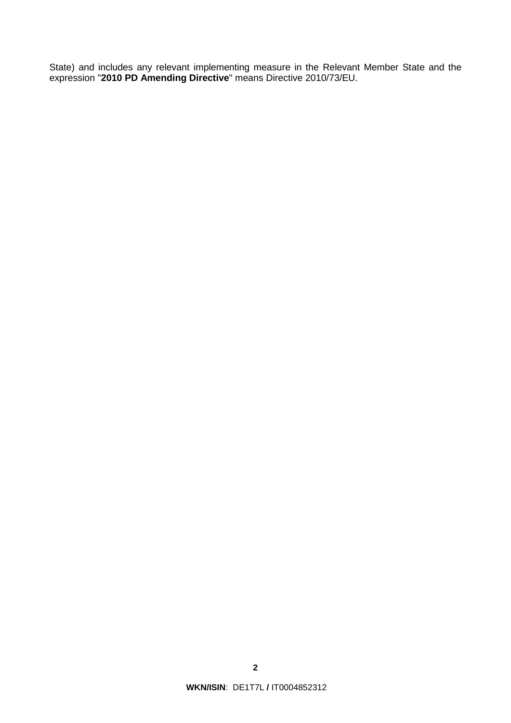State) and includes any relevant implementing measure in the Relevant Member State and the expression "**2010 PD Amending Directive**" means Directive 2010/73/EU.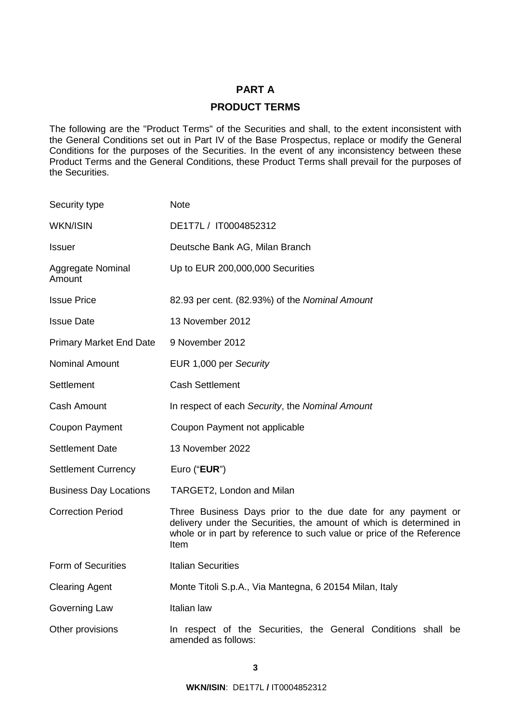## **PART A**

## **PRODUCT TERMS**

The following are the "Product Terms" of the Securities and shall, to the extent inconsistent with the General Conditions set out in Part IV of the Base Prospectus, replace or modify the General Conditions for the purposes of the Securities. In the event of any inconsistency between these Product Terms and the General Conditions, these Product Terms shall prevail for the purposes of the Securities.

| Security type                  | <b>Note</b>                                                                                                                                                                                                          |
|--------------------------------|----------------------------------------------------------------------------------------------------------------------------------------------------------------------------------------------------------------------|
| <b>WKN/ISIN</b>                | DE1T7L / IT0004852312                                                                                                                                                                                                |
| <b>Issuer</b>                  | Deutsche Bank AG, Milan Branch                                                                                                                                                                                       |
| Aggregate Nominal<br>Amount    | Up to EUR 200,000,000 Securities                                                                                                                                                                                     |
| <b>Issue Price</b>             | 82.93 per cent. (82.93%) of the Nominal Amount                                                                                                                                                                       |
| <b>Issue Date</b>              | 13 November 2012                                                                                                                                                                                                     |
| <b>Primary Market End Date</b> | 9 November 2012                                                                                                                                                                                                      |
| <b>Nominal Amount</b>          | EUR 1,000 per Security                                                                                                                                                                                               |
| Settlement                     | <b>Cash Settlement</b>                                                                                                                                                                                               |
| <b>Cash Amount</b>             | In respect of each Security, the Nominal Amount                                                                                                                                                                      |
| <b>Coupon Payment</b>          | Coupon Payment not applicable                                                                                                                                                                                        |
| <b>Settlement Date</b>         | 13 November 2022                                                                                                                                                                                                     |
| <b>Settlement Currency</b>     | Euro ("EUR")                                                                                                                                                                                                         |
| <b>Business Day Locations</b>  | TARGET2, London and Milan                                                                                                                                                                                            |
| <b>Correction Period</b>       | Three Business Days prior to the due date for any payment or<br>delivery under the Securities, the amount of which is determined in<br>whole or in part by reference to such value or price of the Reference<br>Item |
| <b>Form of Securities</b>      | <b>Italian Securities</b>                                                                                                                                                                                            |
| <b>Clearing Agent</b>          | Monte Titoli S.p.A., Via Mantegna, 6 20154 Milan, Italy                                                                                                                                                              |
| Governing Law                  | Italian law                                                                                                                                                                                                          |
| Other provisions               | In respect of the Securities, the General Conditions shall be<br>amended as follows:                                                                                                                                 |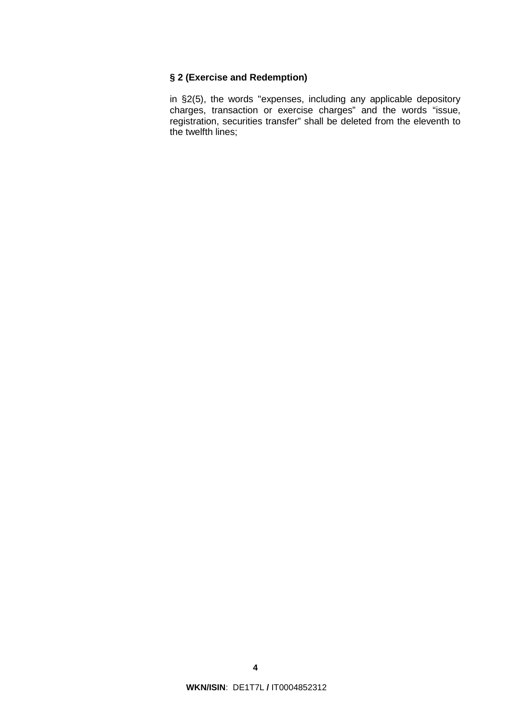## **§ 2 (Exercise and Redemption)**

in §2(5), the words "expenses, including any applicable depository charges, transaction or exercise charges" and the words "issue, registration, securities transfer" shall be deleted from the eleventh to the twelfth lines;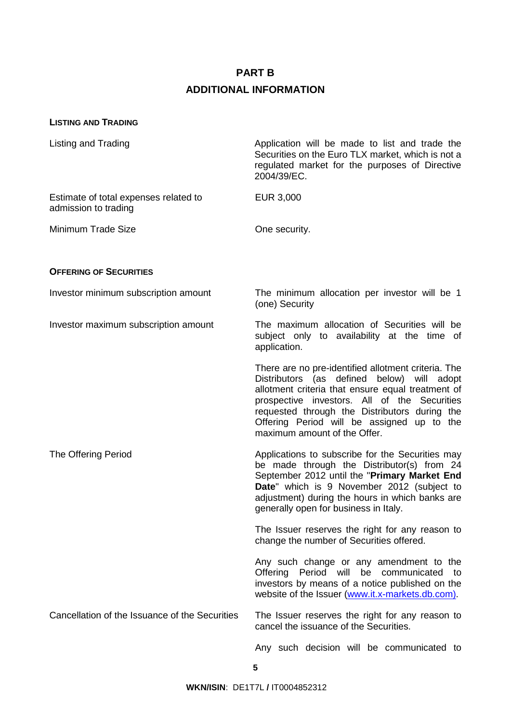#### **PART B**

#### **ADDITIONAL INFORMATION**

#### **LISTING AND TRADING**

Listing and Trading **Application will be made to list and trade the** Listing and Trade the Securities on the Euro TLX market, which is not a regulated market for the purposes of Directive 2004/39/EC.

Estimate of total expenses related to admission to trading

Minimum Trade Size **Coneral State Size Coneral System** One security.

EUR 3,000

#### **OFFERING OF SECURITIES**

Investor minimum subscription amount The minimum allocation per investor will be 1 (one) Security

Investor maximum subscription amount The maximum allocation of Securities will be subject only to availability at the time of application.

> There are no pre-identified allotment criteria. The Distributors (as defined below) will adopt allotment criteria that ensure equal treatment of prospective investors. All of the Securities requested through the Distributors during the Offering Period will be assigned up to the maximum amount of the Offer.

The Offering Period **Applications** to subscribe for the Securities may be made through the Distributor(s) from 24 September 2012 until the "**Primary Market End Date**" which is 9 November 2012 (subject to adjustment) during the hours in which banks are generally open for business in Italy.

> The Issuer reserves the right for any reason to change the number of Securities offered.

> Any such change or any amendment to the Offering Period will be communicated to investors by means of a notice published on the website of the Issuer [\(www.it.x-markets.db.com\).](http://www.it.x-markets.db.com)/)

Cancellation of the Issuance of the Securities The Issuer reserves the right for any reason to cancel the issuance of the Securities.

Any such decision will be communicated to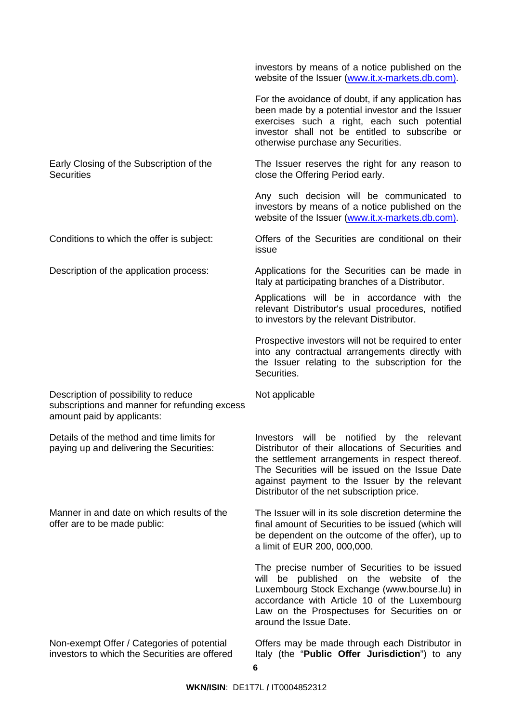investors by means of a notice published on the website of the Issuer [\(www.it.x-markets.db.com\).](http://www.it.x-markets.db.com)/)

For the avoidance of doubt, if any application has been made by a potential investor and the Issuer exercises such a right, each such potential investor shall not be entitled to subscribe or otherwise purchase any Securities.

### Early Closing of the Subscription of the **Securities**

Description of possibility to reduce subscriptions and manner for refunding excess amount paid by applicants:

Details of the method and time limits for paying up and delivering the Securities:

Manner in and date on which results of the offer are to be made public:

Non-exempt Offer / Categories of potential investors to which the Securities are offered The Issuer reserves the right for any reason to close the Offering Period early.

Any such decision will be communicated to investors by means of a notice published on the website of the Issuer [\(www.it.x-markets.db.com\).](http://www.it.x-markets.db.com)/)

Conditions to which the offer is subject: Offers of the Securities are conditional on their issue

Description of the application process: Applications for the Securities can be made in Italy at participating branches of a Distributor.

> Applications will be in accordance with the relevant Distributor's usual procedures, notified to investors by the relevant Distributor.

> Prospective investors will not be required to enter into any contractual arrangements directly with the Issuer relating to the subscription for the Securities.

Not applicable

Investors will be notified by the relevant Distributor of their allocations of Securities and the settlement arrangements in respect thereof. The Securities will be issued on the Issue Date against payment to the Issuer by the relevant Distributor of the net subscription price.

The Issuer will in its sole discretion determine the final amount of Securities to be issued (which will be dependent on the outcome of the offer), up to a limit of EUR 200, 000,000.

The precise number of Securities to be issued will be published on the website of the Luxembourg Stock Exchange [\(www.bourse.lu\)](http://www.bourse.lu)/) in accordance with Article 10 of the Luxembourg Law on the Prospectuses for Securities on or around the Issue Date.

Offers may be made through each Distributor in Italy (the "**Public Offer Jurisdiction**") to any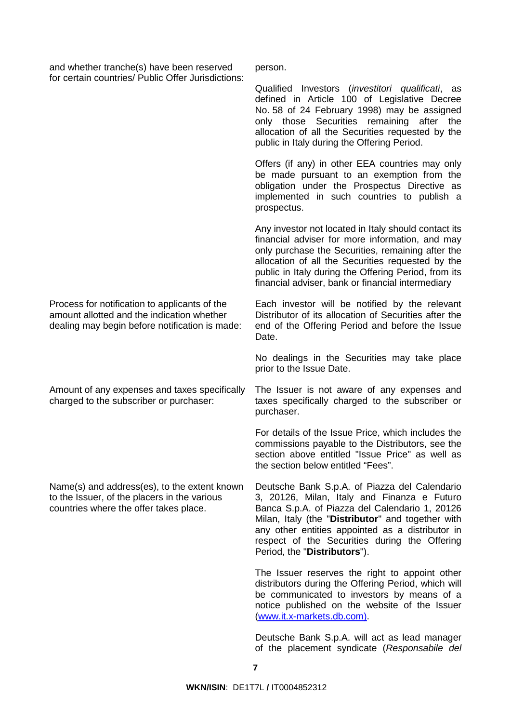and whether tranche(s) have been reserved for certain countries/ Public Offer Jurisdictions: person.

Qualified Investors (*investitori qualificati*, as defined in Article 100 of Legislative Decree No. 58 of 24 February 1998) may be assigned only those Securities remaining after the allocation of all the Securities requested by the public in Italy during the Offering Period.

Offers (if any) in other EEA countries may only be made pursuant to an exemption from the obligation under the Prospectus Directive as implemented in such countries to publish a prospectus.

Any investor not located in Italy should contact its financial adviser for more information, and may only purchase the Securities, remaining after the allocation of all the Securities requested by the public in Italy during the Offering Period, from its financial adviser, bank or financial intermediary

Each investor will be notified by the relevant Distributor of its allocation of Securities after the end of the Offering Period and before the Issue Date.

No dealings in the Securities may take place prior to the Issue Date.

The Issuer is not aware of any expenses and taxes specifically charged to the subscriber or purchaser.

For details of the Issue Price, which includes the commissions payable to the Distributors, see the section above entitled "Issue Price" as well as the section below entitled "Fees".

Deutsche Bank S.p.A. of Piazza del Calendario 3, 20126, Milan, Italy and Finanza e Futuro Banca S.p.A. of Piazza del Calendario 1, 20126 Milan, Italy (the "**Distributor**" and together with any other entities appointed as a distributor in respect of the Securities during the Offering Period, the "**Distributors**").

The Issuer reserves the right to appoint other distributors during the Offering Period, which will be communicated to investors by means of a notice published on the website of the Issuer [\(www.it.x-markets.db.com\).](http://www.it.x-markets.db.com)/)

Deutsche Bank S.p.A. will act as lead manager of the placement syndicate (*Responsabile del* 

Process for notification to applicants of the amount allotted and the indication whether dealing may begin before notification is made:

Amount of any expenses and taxes specifically charged to the subscriber or purchaser:

Name(s) and address(es), to the extent known to the Issuer, of the placers in the various countries where the offer takes place.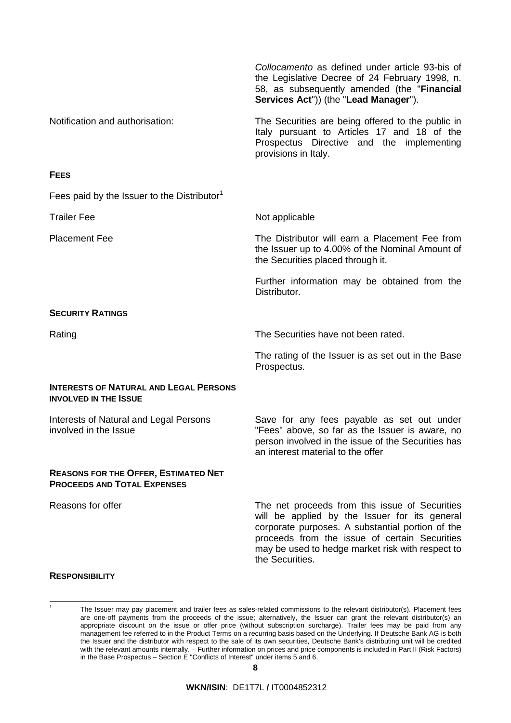|                                                                                   | Collocamento as defined under article 93-bis of<br>the Legislative Decree of 24 February 1998, n.<br>58, as subsequently amended (the "Financial<br>Services Act")) (the "Lead Manager").                                                                                   |
|-----------------------------------------------------------------------------------|-----------------------------------------------------------------------------------------------------------------------------------------------------------------------------------------------------------------------------------------------------------------------------|
| Notification and authorisation:                                                   | The Securities are being offered to the public in<br>Italy pursuant to Articles 17 and 18 of the<br>Prospectus Directive and the implementing<br>provisions in Italy.                                                                                                       |
| <b>FEES</b>                                                                       |                                                                                                                                                                                                                                                                             |
| Fees paid by the Issuer to the Distributor <sup>1</sup>                           |                                                                                                                                                                                                                                                                             |
| <b>Trailer Fee</b>                                                                | Not applicable                                                                                                                                                                                                                                                              |
| <b>Placement Fee</b>                                                              | The Distributor will earn a Placement Fee from<br>the Issuer up to 4.00% of the Nominal Amount of<br>the Securities placed through it.                                                                                                                                      |
|                                                                                   | Further information may be obtained from the<br>Distributor.                                                                                                                                                                                                                |
| <b>SECURITY RATINGS</b>                                                           |                                                                                                                                                                                                                                                                             |
| Rating                                                                            | The Securities have not been rated.                                                                                                                                                                                                                                         |
|                                                                                   | The rating of the Issuer is as set out in the Base<br>Prospectus.                                                                                                                                                                                                           |
| <b>INTERESTS OF NATURAL AND LEGAL PERSONS</b><br><b>INVOLVED IN THE ISSUE</b>     |                                                                                                                                                                                                                                                                             |
| Interests of Natural and Legal Persons<br>involved in the Issue                   | Save for any fees payable as set out under<br>"Fees" above, so far as the Issuer is aware, no<br>person involved in the issue of the Securities has<br>an interest material to the offer                                                                                    |
| <b>REASONS FOR THE OFFER, ESTIMATED NET</b><br><b>PROCEEDS AND TOTAL EXPENSES</b> |                                                                                                                                                                                                                                                                             |
| Reasons for offer                                                                 | The net proceeds from this issue of Securities<br>will be applied by the Issuer for its general<br>corporate purposes. A substantial portion of the<br>proceeds from the issue of certain Securities<br>may be used to hedge market risk with respect to<br>the Securities. |

#### **RESPONSIBILITY**

<span id="page-7-0"></span>

<sup>1</sup> The Issuer may pay placement and trailer fees as sales-related commissions to the relevant distributor(s). Placement fees are one-off payments from the proceeds of the issue; alternatively, the Issuer can grant the relevant distributor(s) an appropriate discount on the issue or offer price (without subscription surcharge). Trailer fees may be paid from any management fee referred to in the Product Terms on a recurring basis based on the Underlying. If Deutsche Bank AG is both the Issuer and the distributor with respect to the sale of its own securities, Deutsche Bank's distributing unit will be credited with the relevant amounts internally. – Further information on prices and price components is included in Part II (Risk Factors) in the Base Prospectus – Section E "Conflicts of Interest" under items 5 and 6.